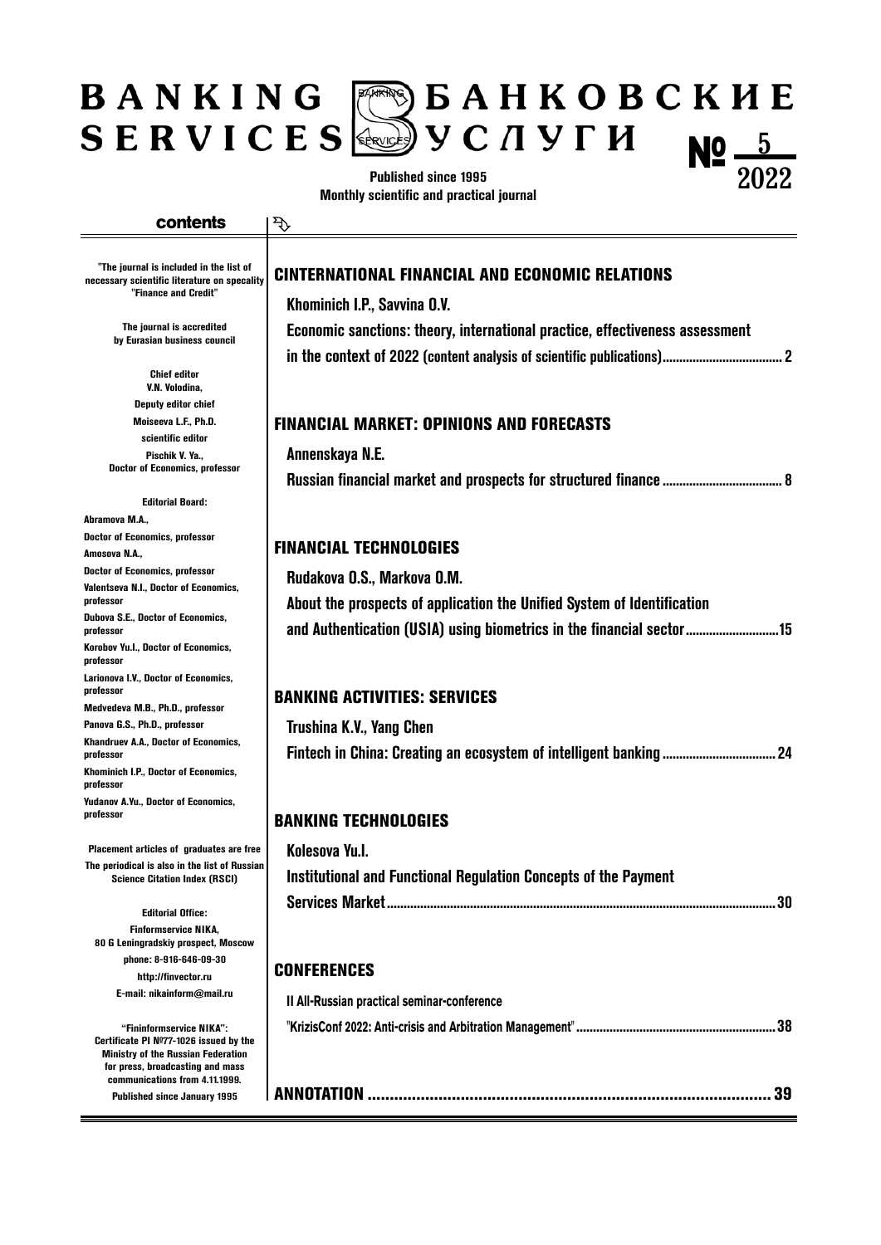### $\mathbb{R}^{\mathbb{R}}$   $\triangleright$   $\mathbf{B}$   $\mathbf{A}$   $\mathbf{H}$   $\mathbf{K}$   $\mathbf{O}$   $\mathbf{B}$   $\mathbf{C}$   $\mathbf{K}$   $\mathbf{H}$   $\mathbf{E}$ BANKING  $\left(\mathbb{R}\right)$  y C  $\pi$  y  $\Gamma$   $H$ **SERVICES Nº**  $\frac{5}{20}$

**Published since 1995 Monthly scientific and practical journal**

#### **contents**

ক্

**"The journal is included in the list of necessary scientific literature on specality "Finance and Credit"**

> **The journal is accredited by Eurasian business council**

**Сhief editor V.N. Volodina, Deputy editor chief Moiseeva L.F., Ph.D. scientific editor Pischik V. Ya., Doctor of Economics, professor**

**Editorial Board:**

**Abramova M.A., Doctor of Economics, professor**

**Amosova N.A., Doctor of Economics, professor**

**Valentseva N.I., Doctor of Economics, professor**

**Dubova S.E., Doctor of Economics, professor**

**Korobov Yu.I., Doctor of Economics, professor**

**Larionova I.V., Doctor of Economics, professor**

**Medvedeva M.B., Ph.D., professor Panova G.S., Ph.D., professor**

**Khandruev A.A., Doctor of Economics, professor**

**Khominich I.P., Doctor of Economics, professor Yudanov A.Yu., Doctor of Economics,** 

**professor**

**Placement articles of graduates are free The periodical is also in the list of Russian Science Citation Index (RSCI)**

**Editorial Office: Finformservice NIKA, 80 G Leningradskiy prospect, Moscow phone: 8-916-646-09-30 http://finvector.ru E-mail: nikainform@mail.ru**

**"Fininformservice NIKA": Certificate PI №77-1026 issued by the Ministry of the Russian Federation for press, broadcasting and mass communications from 4.11.1999. Published since January 1995**

### CINTERNATIONAL FINANCIAL AND ECONOMIC RELATIONS

**Khominich I.P., Savvina O.V. Economic sanctions: theory, international practice, effectiveness assessment in the context of 2022 (content analysis of scientific publications)....................................2**

2022

#### FINANCIAL MARKET: OPINIONS AND FORECASTS

**Annenskaya N.E.**

**Russian financial market and prospects for structured finance....................................8**

# FINANCIAL TECHNOLOGIES

**Rudakova O.S., Markova O.M.**

**Аbout the prospects of application the Unified System of Identification and Authentication (USIA) using biometrics in the financial sector............................15**

# BANKING ACTIVITIES: SERVICES

**Trushina K.V., Yang Chen Fintech in China: Creating an ecosystem of intelligent banking ..................................24**

## BANKING TECHNOLOGIES

| Kolesova Yu.l.                                                  |  |
|-----------------------------------------------------------------|--|
| Institutional and Functional Regulation Concepts of the Payment |  |
|                                                                 |  |

# **CONFERENCES**

| Il All-Russian practical seminar-conference |  |
|---------------------------------------------|--|
|                                             |  |
|                                             |  |
|                                             |  |
|                                             |  |
|                                             |  |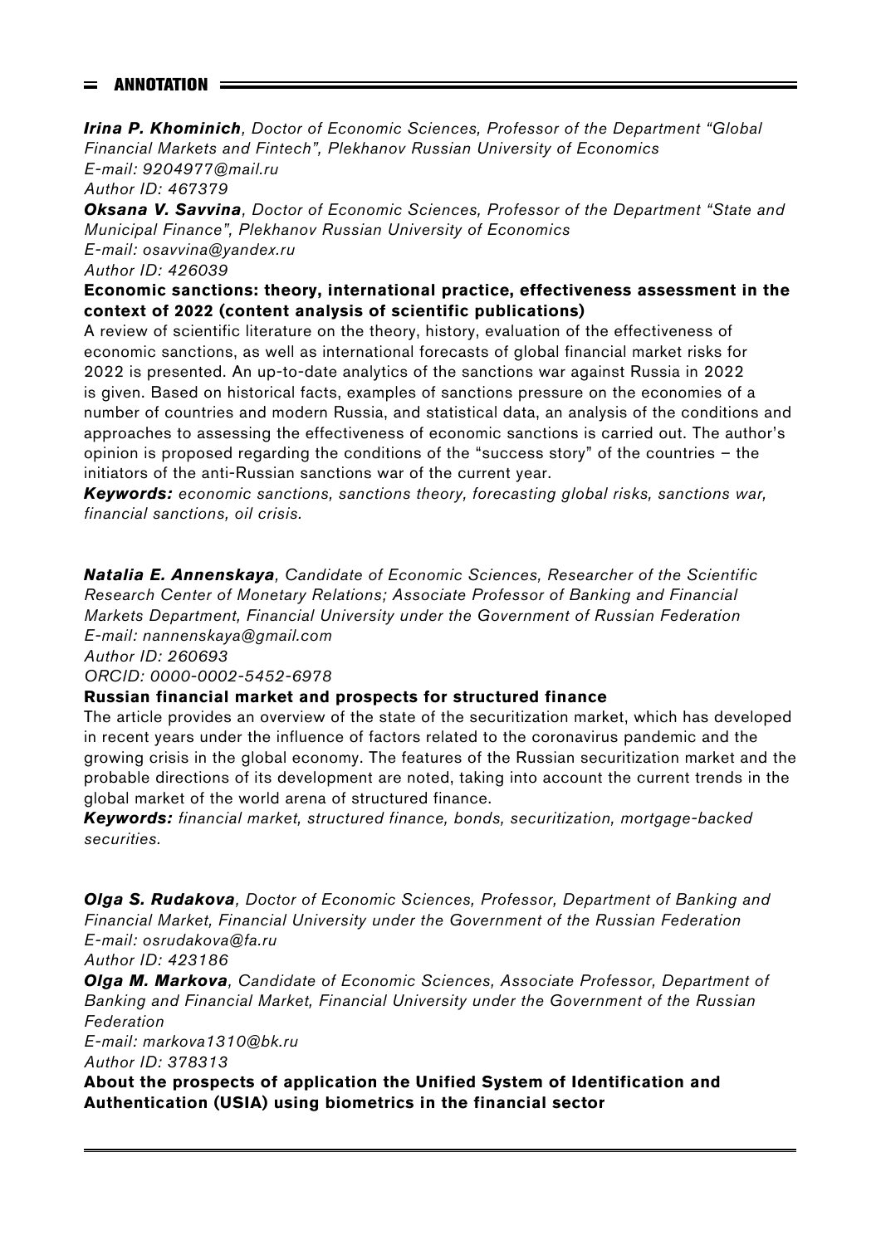# $=$  ANNOTATION  $=$

*Irina P. Khominich, Doctor of Economic Sciences, Professor of the Department "Global Financial Markets and Fintech", Plekhanov Russian University of Economics* 

*E-mail: 9204977@mail.ru*

*Author ID: 467379*

*Oksana V. Savvina, Doctor of Economic Sciences, Professor of the Department "State and Municipal Finance", Plekhanov Russian University of Economics*

*E-mail: osavvina@yandex.ru Author ID: 426039*

## **Economic sanctions: theory, international practice, effectiveness assessment in the context of 2022 (content analysis of scientific publications)**

A review of scientific literature on the theory, history, evaluation of the effectiveness of economic sanctions, as well as international forecasts of global financial market risks for 2022 is presented. An up-to-date analytics of the sanctions war against Russia in 2022 is given. Based on historical facts, examples of sanctions pressure on the economies of a number of countries and modern Russia, and statistical data, an analysis of the conditions and approaches to assessing the effectiveness of economic sanctions is carried out. The author's opinion is proposed regarding the conditions of the "success story" of the countries – the initiators of the anti-Russian sanctions war of the current year.

*Keywords: economic sanctions, sanctions theory, forecasting global risks, sanctions war, financial sanctions, oil crisis.*

*Natalia E. Annenskaya, Candidate of Economic Sciences, Researcher of the Scientific Research Center of Monetary Relations; Associate Professor of Banking and Financial Markets Department, Financial University under the Government of Russian Federation E-mail: nannenskaya@gmail.com*

*Author ID: 260693*

*ORCID: 0000-0002-5452-6978*

## **Russian financial market and prospects for structured finance**

The article provides an overview of the state of the securitization market, which has developed in recent years under the influence of factors related to the coronavirus pandemic and the growing crisis in the global economy. The features of the Russian securitization market and the probable directions of its development are noted, taking into account the current trends in the global market of the world arena of structured finance.

*Keywords: financial market, structured finance, bonds, securitization, mortgage-backed securities.*

*Olga S. Rudakova, Doctor of Economic Sciences, Professor, Department of Banking and Financial Market, Financial University under the Government of the Russian Federation E-mail: osrudakova@fa.ru*

*Author ID: 423186*

*Olga M. Markova, Candidate of Economic Sciences, Associate Professor, Department of Banking and Financial Market, Financial University under the Government of the Russian Federation*

*E-mail: markova1310@bk.ru Author ID: 378313*

**Аbout the prospects of application the Unified System of Identification and Authentication (USIA) using biometrics in the financial sector**